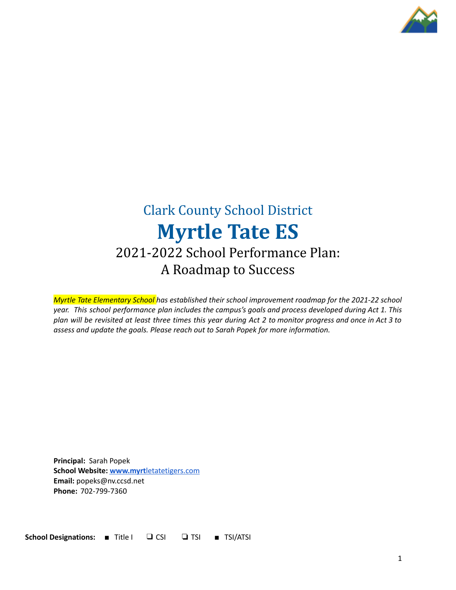

# Clark County School District **Myrtle Tate ES** 2021-2022 School Performance Plan: A Roadmap to Success

*Myrtle Tate Elementary School has established their school improvement roadmap for the 2021-22 school year. This school performance plan includes the campus's goals and process developed during Act 1. This* plan will be revisited at least three times this year during Act 2 to monitor progress and once in Act 3 to *assess and update the goals. Please reach out to Sarah Popek for more information.*

**Principal:** Sarah Popek **School Website: www.myrt**[letatetigers.com](http://www.myrtletatetigers.com) **Email:** popeks@nv.ccsd.net **Phone:** 702-799-7360

**School Designations:** ■ Title I ❑ CSI ❏ TSI ■ TSI/ATSI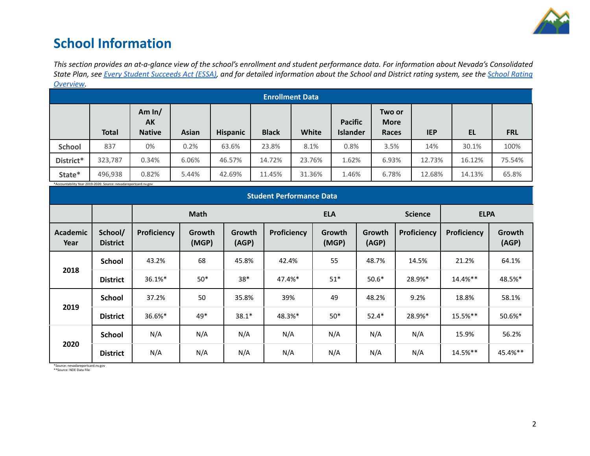

## **School Information**

This section provides an at-a-glance view of the school's enrollment and student performance data. For information about Nevada's Consolidated State Plan, see Every Student [Succeeds](https://doe.nv.gov/uploadedFiles/ndedoenvgov/content/Boards_Commissions_Councils/ESSA_Adv_Group/NevadaSubmittedConsolidatedPlanFinal.pdf) Act (ESSA), and for detailed information about the School and District rating system, see the School [Rating](http://nevadareportcard.nv.gov/DI/MoreDownload?filename=Nevadas%20School%20Rating%20System.pdf) *[Overview.](http://nevadareportcard.nv.gov/DI/MoreDownload?filename=Nevadas%20School%20Rating%20System.pdf)*

| --------<br><b>Enrollment Data</b> |              |                                 |              |                 |              |        |                                   |                                |            |        |            |
|------------------------------------|--------------|---------------------------------|--------------|-----------------|--------------|--------|-----------------------------------|--------------------------------|------------|--------|------------|
|                                    | <b>Total</b> | Am $ln/$<br>AK<br><b>Native</b> | <b>Asian</b> | <b>Hispanic</b> | <b>Black</b> | White  | <b>Pacific</b><br><b>Islander</b> | Two or<br><b>More</b><br>Races | <b>IEP</b> | EL     | <b>FRL</b> |
| <b>School</b>                      | 837          | 0%                              | 0.2%         | 63.6%           | 23.8%        | 8.1%   | 0.8%                              | 3.5%                           | 14%        | 30.1%  | 100%       |
| District*                          | 323,787      | 0.34%                           | 6.06%        | 46.57%          | 14.72%       | 23.76% | 1.62%                             | 6.93%                          | 12.73%     | 16.12% | 75.54%     |
| State*                             | 496,938      | 0.82%                           | 5.44%        | 42.69%          | 11.45%       | 31.36% | 1.46%                             | 6.78%                          | 12.68%     | 14.13% | 65.8%      |

\*Accountability Year 2019-2020. Source: nevadareportcard.nv.gov

| Accountability ical 2015 2020, Source, ilevagareporteara.m.gov<br><b>Student Performance Data</b> |                            |             |                        |                 |                    |                 |                 |                |             |                 |
|---------------------------------------------------------------------------------------------------|----------------------------|-------------|------------------------|-----------------|--------------------|-----------------|-----------------|----------------|-------------|-----------------|
|                                                                                                   |                            | <b>Math</b> |                        |                 | <b>ELA</b>         |                 |                 | <b>Science</b> | <b>ELPA</b> |                 |
| Academic<br>Year                                                                                  | School/<br><b>District</b> | Proficiency | <b>Growth</b><br>(MGP) | Growth<br>(AGP) | <b>Proficiency</b> | Growth<br>(MGP) | Growth<br>(AGP) | Proficiency    | Proficiency | Growth<br>(AGP) |
|                                                                                                   | <b>School</b>              | 43.2%       | 68                     | 45.8%           | 42.4%              | 55              | 48.7%           | 14.5%          | 21.2%       | 64.1%           |
| 2018                                                                                              | <b>District</b>            | 36.1%*      | $50*$                  | $38*$           | 47.4%*             | $51*$           | $50.6*$         | 28.9%*         | 14.4%**     | 48.5%*          |
|                                                                                                   | <b>School</b>              | 37.2%       | 50                     | 35.8%           | 39%                | 49              | 48.2%           | 9.2%           | 18.8%       | 58.1%           |
| 2019                                                                                              | <b>District</b>            | 36.6%*      | 49*                    | $38.1*$         | 48.3%*             | $50*$           | $52.4*$         | 28.9%*         | 15.5%**     | 50.6%*          |
|                                                                                                   | <b>School</b>              | N/A         | N/A                    | N/A             | N/A                | N/A             | N/A             | N/A            | 15.9%       | 56.2%           |
| 2020                                                                                              | <b>District</b>            | N/A         | N/A                    | N/A             | N/A                | N/A             | N/A             | N/A            | 14.5%**     | 45.4%**         |

\*Source: nevadareportcard.nv.gov \*\*Source: NDE Data File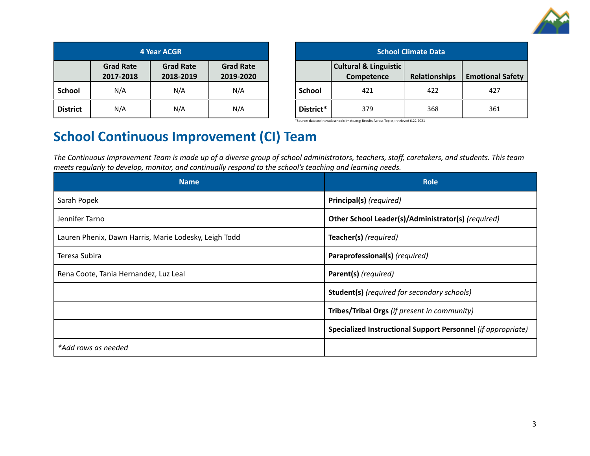

| <b>4 Year ACGR</b> |                               |                               |                               |  |  |
|--------------------|-------------------------------|-------------------------------|-------------------------------|--|--|
|                    | <b>Grad Rate</b><br>2017-2018 | <b>Grad Rate</b><br>2018-2019 | <b>Grad Rate</b><br>2019-2020 |  |  |
| <b>School</b>      | N/A                           | N/A                           | N/A                           |  |  |
| <b>District</b>    | N/A                           | N/A                           | N/A                           |  |  |

| <b>School Climate Data</b> |                                                |                      |                         |  |  |
|----------------------------|------------------------------------------------|----------------------|-------------------------|--|--|
|                            | <b>Cultural &amp; Linguistic</b><br>Competence | <b>Relationships</b> | <b>Emotional Safety</b> |  |  |
| <b>School</b>              | 421                                            | 422                  | 427                     |  |  |
| District*                  | 379                                            | 368                  | 361                     |  |  |

\*Source: datatool.nevadaschoolclimate.org; Results Across Topics; retrieved 6.22.2021

## **School Continuous Improvement (CI) Team**

The Continuous Improvement Team is made up of a diverse group of school administrators, teachers, staff, caretakers, and students. This team *meets regularly to develop, monitor, and continually respond to the school's teaching and learning needs.*

| <b>Name</b>                                           | <b>Role</b>                                                  |
|-------------------------------------------------------|--------------------------------------------------------------|
| Sarah Popek                                           | Principal(s) (required)                                      |
| Jennifer Tarno                                        | Other School Leader(s)/Administrator(s) (required)           |
| Lauren Phenix, Dawn Harris, Marie Lodesky, Leigh Todd | Teacher(s) (required)                                        |
| Teresa Subira                                         | Paraprofessional(s) (required)                               |
| Rena Coote, Tania Hernandez, Luz Leal                 | Parent(s) (required)                                         |
|                                                       | <b>Student(s)</b> (required for secondary schools)           |
|                                                       | Tribes/Tribal Orgs (if present in community)                 |
|                                                       | Specialized Instructional Support Personnel (if appropriate) |
| *Add rows as needed                                   |                                                              |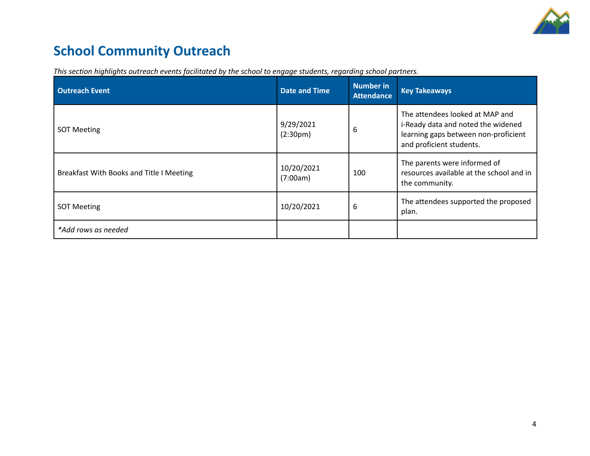

# **School Community Outreach**

| <b>Outreach Event</b>                    | <b>Date and Time</b>               | <b>Number in</b><br><b>Attendance</b> | <b>Key Takeaways</b>                                                                                                                      |
|------------------------------------------|------------------------------------|---------------------------------------|-------------------------------------------------------------------------------------------------------------------------------------------|
| <b>SOT Meeting</b>                       | 9/29/2021<br>(2:30 <sub>pm</sub> ) | 6                                     | The attendees looked at MAP and<br>i-Ready data and noted the widened<br>learning gaps between non-proficient<br>and proficient students. |
| Breakfast With Books and Title I Meeting | 10/20/2021<br>(7:00am)             | 100                                   | The parents were informed of<br>resources available at the school and in<br>the community.                                                |
| <b>SOT Meeting</b>                       | 10/20/2021                         | 6                                     | The attendees supported the proposed<br>plan.                                                                                             |
| *Add rows as needed                      |                                    |                                       |                                                                                                                                           |

*This section highlights outreach events facilitated by the school to engage students, regarding school partners.*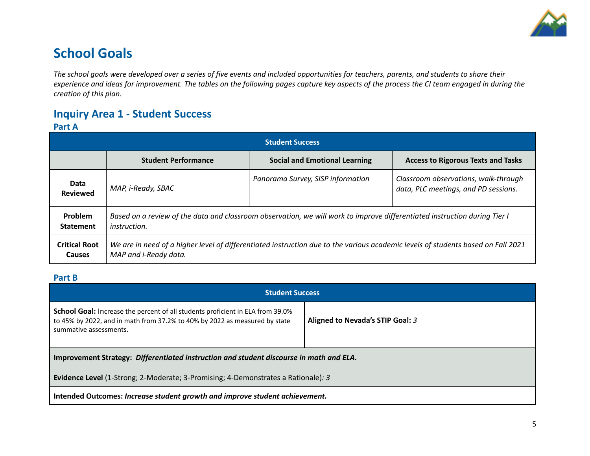

## **School Goals**

The school goals were developed over a series of five events and included opportunities for teachers, parents, and students to share their experience and ideas for improvement. The tables on the following pages capture key aspects of the process the CI team engaged in during the *creation of this plan.*

## **Inquiry Area 1 - Student Success**

#### **Part A**

| <b>Student Success</b>                |                                                                                                                                                           |                                      |                                                                              |  |  |
|---------------------------------------|-----------------------------------------------------------------------------------------------------------------------------------------------------------|--------------------------------------|------------------------------------------------------------------------------|--|--|
|                                       | <b>Student Performance</b>                                                                                                                                | <b>Social and Emotional Learning</b> | <b>Access to Rigorous Texts and Tasks</b>                                    |  |  |
| Data<br><b>Reviewed</b>               | MAP, i-Ready, SBAC                                                                                                                                        | Panorama Survey, SISP information    | Classroom observations, walk-through<br>data, PLC meetings, and PD sessions. |  |  |
| Problem<br><b>Statement</b>           | Based on a review of the data and classroom observation, we will work to improve differentiated instruction during Tier I<br><i>instruction.</i>          |                                      |                                                                              |  |  |
| <b>Critical Root</b><br><b>Causes</b> | We are in need of a higher level of differentiated instruction due to the various academic levels of students based on Fall 2021<br>MAP and i-Ready data. |                                      |                                                                              |  |  |

#### **Part B**

| <b>Student Success</b>                                                                                                                                                                                                            |  |  |  |  |
|-----------------------------------------------------------------------------------------------------------------------------------------------------------------------------------------------------------------------------------|--|--|--|--|
| <b>School Goal:</b> Increase the percent of all students proficient in ELA from 39.0%<br>Aligned to Nevada's STIP Goal: 3<br>to 45% by 2022, and in math from 37.2% to 40% by 2022 as measured by state<br>summative assessments. |  |  |  |  |
| Improvement Strategy: Differentiated instruction and student discourse in math and ELA.                                                                                                                                           |  |  |  |  |
| <b>Evidence Level</b> (1-Strong; 2-Moderate; 3-Promising; 4-Demonstrates a Rationale): 3                                                                                                                                          |  |  |  |  |
| Intended Outcomes: Increase student growth and improve student achievement.                                                                                                                                                       |  |  |  |  |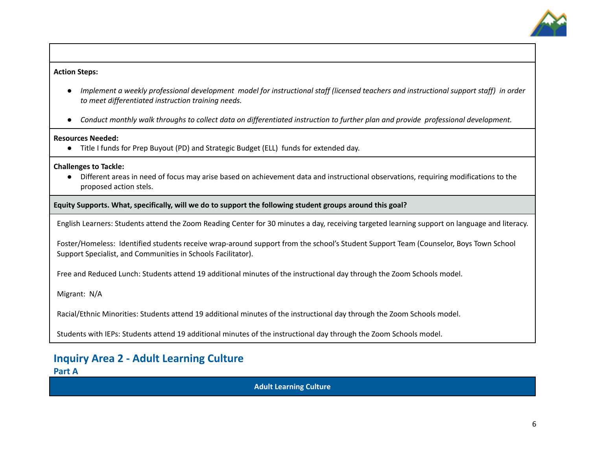

#### **Action Steps:**

- Implement a weekly professional development model for instructional staff (licensed teachers and instructional support staff) in order *to meet differentiated instruction training needs.*
- Conduct monthly walk throughs to collect data on differentiated instruction to further plan and provide professional development.

#### **Resources Needed:**

● Title I funds for Prep Buyout (PD) and Strategic Budget (ELL) funds for extended day.

#### **Challenges to Tackle:**

● Different areas in need of focus may arise based on achievement data and instructional observations, requiring modifications to the proposed action stels.

**Equity Supports. What, specifically, will we do to support the following student groups around this goal?**

English Learners: Students attend the Zoom Reading Center for 30 minutes a day, receiving targeted learning support on language and literacy.

Foster/Homeless: Identified students receive wrap-around support from the school's Student Support Team (Counselor, Boys Town School Support Specialist, and Communities in Schools Facilitator).

Free and Reduced Lunch: Students attend 19 additional minutes of the instructional day through the Zoom Schools model.

Migrant: N/A

Racial/Ethnic Minorities: Students attend 19 additional minutes of the instructional day through the Zoom Schools model.

Students with IEPs: Students attend 19 additional minutes of the instructional day through the Zoom Schools model.

### **Inquiry Area 2 - Adult Learning Culture Part A**

**Adult Learning Culture**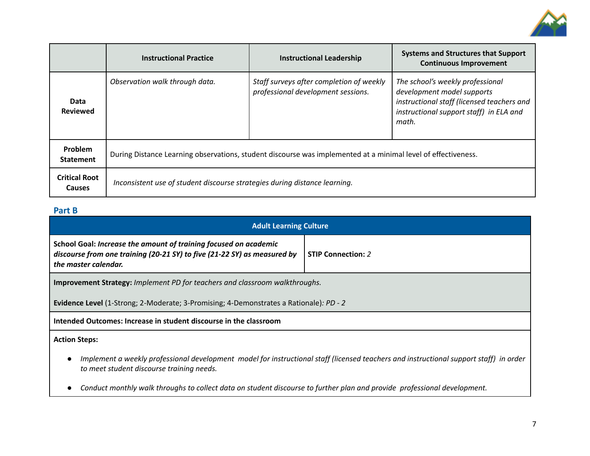

|                                       | <b>Instructional Practice</b>                                                                                 | <b>Instructional Leadership</b>                                                | <b>Systems and Structures that Support</b><br><b>Continuous Improvement</b>                                                                                      |  |  |
|---------------------------------------|---------------------------------------------------------------------------------------------------------------|--------------------------------------------------------------------------------|------------------------------------------------------------------------------------------------------------------------------------------------------------------|--|--|
| Data<br><b>Reviewed</b>               | Observation walk through data.                                                                                | Staff surveys after completion of weekly<br>professional development sessions. | The school's weekly professional<br>development model supports<br>instructional staff (licensed teachers and<br>instructional support staff) in ELA and<br>math. |  |  |
| Problem<br><b>Statement</b>           | During Distance Learning observations, student discourse was implemented at a minimal level of effectiveness. |                                                                                |                                                                                                                                                                  |  |  |
| <b>Critical Root</b><br><b>Causes</b> | Inconsistent use of student discourse strategies during distance learning.                                    |                                                                                |                                                                                                                                                                  |  |  |

### **Part B**

| <b>Adult Learning Culture</b>                                                                                                                                                                     |  |  |  |  |
|---------------------------------------------------------------------------------------------------------------------------------------------------------------------------------------------------|--|--|--|--|
| School Goal: Increase the amount of training focused on academic<br>discourse from one training (20-21 SY) to five (21-22 SY) as measured by<br><b>STIP Connection: 2</b><br>the master calendar. |  |  |  |  |
| <b>Improvement Strategy:</b> Implement PD for teachers and classroom walkthroughs.                                                                                                                |  |  |  |  |
| <b>Evidence Level</b> (1-Strong; 2-Moderate; 3-Promising; 4-Demonstrates a Rationale): <i>PD - 2</i>                                                                                              |  |  |  |  |
| Intended Outcomes: Increase in student discourse in the classroom                                                                                                                                 |  |  |  |  |
| <b>Action Steps:</b>                                                                                                                                                                              |  |  |  |  |
| Implement a weekly professional development model for instructional staff (licensed teachers and instructional support staff) in order<br>to meet student discourse training needs.               |  |  |  |  |
| Conduct monthly walk throughs to collect data on student discourse to further plan and provide professional development.                                                                          |  |  |  |  |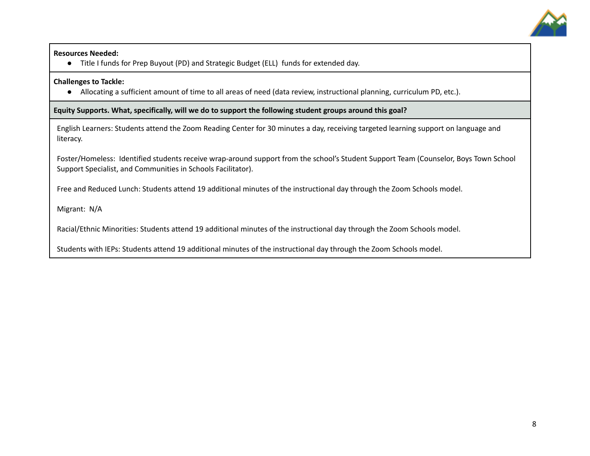

#### **Resources Needed:**

**●** Title I funds for Prep Buyout (PD) and Strategic Budget (ELL) funds for extended day.

#### **Challenges to Tackle:**

● Allocating a sufficient amount of time to all areas of need (data review, instructional planning, curriculum PD, etc.).

**Equity Supports. What, specifically, will we do to support the following student groups around this goal?**

English Learners: Students attend the Zoom Reading Center for 30 minutes a day, receiving targeted learning support on language and literacy.

Foster/Homeless: Identified students receive wrap-around support from the school's Student Support Team (Counselor, Boys Town School Support Specialist, and Communities in Schools Facilitator).

Free and Reduced Lunch: Students attend 19 additional minutes of the instructional day through the Zoom Schools model.

Migrant: N/A

Racial/Ethnic Minorities: Students attend 19 additional minutes of the instructional day through the Zoom Schools model.

Students with IEPs: Students attend 19 additional minutes of the instructional day through the Zoom Schools model.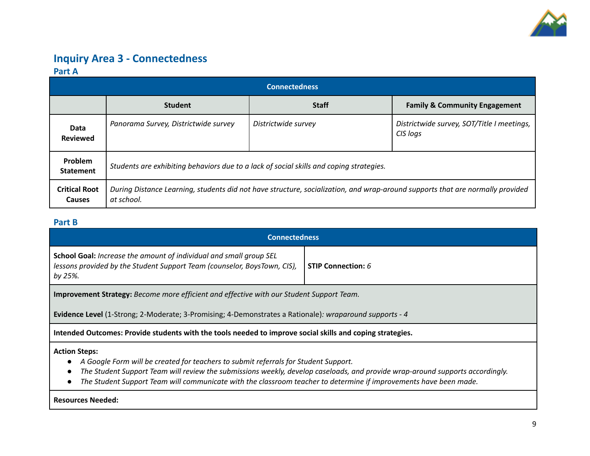

## **Inquiry Area 3 - Connectedness Part A**

| <b>Connectedness</b>                  |                                                                                                                                             |                     |                                                        |  |  |
|---------------------------------------|---------------------------------------------------------------------------------------------------------------------------------------------|---------------------|--------------------------------------------------------|--|--|
|                                       | <b>Student</b>                                                                                                                              | <b>Staff</b>        | <b>Family &amp; Community Engagement</b>               |  |  |
| Data<br><b>Reviewed</b>               | Panorama Survey, Districtwide survey                                                                                                        | Districtwide survey | Districtwide survey, SOT/Title I meetings,<br>CIS logs |  |  |
| Problem<br><b>Statement</b>           | Students are exhibiting behaviors due to a lack of social skills and coping strategies.                                                     |                     |                                                        |  |  |
| <b>Critical Root</b><br><b>Causes</b> | During Distance Learning, students did not have structure, socialization, and wrap-around supports that are normally provided<br>at school. |                     |                                                        |  |  |

#### **Part B**

| <b>Connectedness</b>                                                                                                                                                                                                                                                                                                                                              |  |  |  |  |
|-------------------------------------------------------------------------------------------------------------------------------------------------------------------------------------------------------------------------------------------------------------------------------------------------------------------------------------------------------------------|--|--|--|--|
| School Goal: Increase the amount of individual and small group SEL<br>lessons provided by the Student Support Team (counselor, BoysTown, CIS),<br><b>STIP Connection: 6</b><br>by 25%.                                                                                                                                                                            |  |  |  |  |
| <b>Improvement Strategy:</b> Become more efficient and effective with our Student Support Team.                                                                                                                                                                                                                                                                   |  |  |  |  |
| <b>Evidence Level</b> (1-Strong; 2-Moderate; 3-Promising; 4-Demonstrates a Rationale): wraparound supports - 4                                                                                                                                                                                                                                                    |  |  |  |  |
| Intended Outcomes: Provide students with the tools needed to improve social skills and coping strategies.                                                                                                                                                                                                                                                         |  |  |  |  |
| <b>Action Steps:</b><br>A Google Form will be created for teachers to submit referrals for Student Support.<br>The Student Support Team will review the submissions weekly, develop caseloads, and provide wrap-around supports accordingly.<br>The Student Support Team will communicate with the classroom teacher to determine if improvements have been made. |  |  |  |  |
| <b>Resources Needed:</b>                                                                                                                                                                                                                                                                                                                                          |  |  |  |  |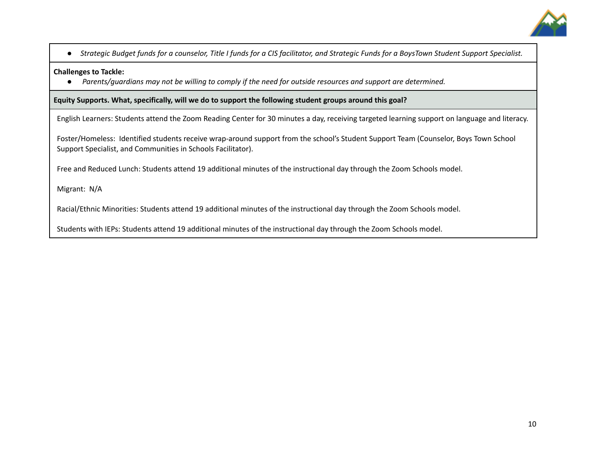

• Strategic Budget funds for a counselor, Title I funds for a CIS facilitator, and Strategic Funds for a BoysTown Student Support Specialist.

#### **Challenges to Tackle:**

• Parents/guardians may not be willing to comply if the need for outside resources and support are determined.

#### **Equity Supports. What, specifically, will we do to support the following student groups around this goal?**

English Learners: Students attend the Zoom Reading Center for 30 minutes a day, receiving targeted learning support on language and literacy.

Foster/Homeless: Identified students receive wrap-around support from the school's Student Support Team (Counselor, Boys Town School Support Specialist, and Communities in Schools Facilitator).

Free and Reduced Lunch: Students attend 19 additional minutes of the instructional day through the Zoom Schools model.

Migrant: N/A

Racial/Ethnic Minorities: Students attend 19 additional minutes of the instructional day through the Zoom Schools model.

Students with IEPs: Students attend 19 additional minutes of the instructional day through the Zoom Schools model.